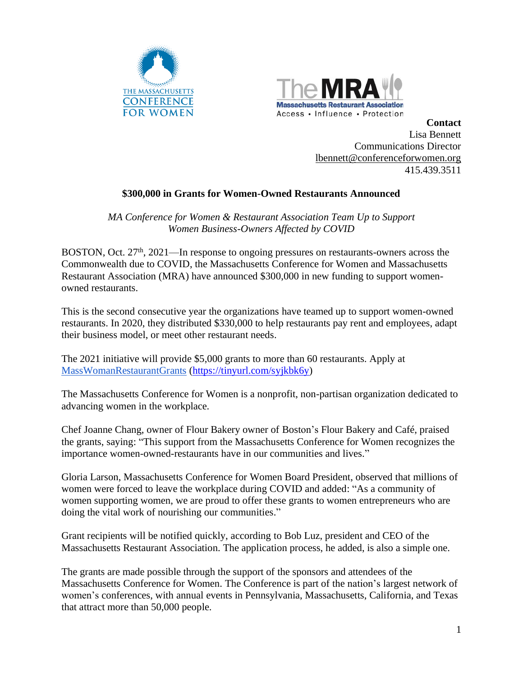



**Contact** Lisa Bennett Communications Director [lbennett@conferenceforwomen.org](mailto:lbennett@conferenceforwomen.org) 415.439.3511

## **\$300,000 in Grants for Women-Owned Restaurants Announced**

*MA Conference for Women & Restaurant Association Team Up to Support Women Business-Owners Affected by COVID*

BOSTON, Oct. 27<sup>th</sup>, 2021—In response to ongoing pressures on restaurants-owners across the Commonwealth due to COVID, the Massachusetts Conference for Women and Massachusetts Restaurant Association (MRA) have announced \$300,000 in new funding to support womenowned restaurants.

This is the second consecutive year the organizations have teamed up to support women-owned restaurants. In 2020, they distributed \$330,000 to help restaurants pay rent and employees, adapt their business model, or meet other restaurant needs.

The 2021 initiative will provide \$5,000 grants to more than 60 restaurants. Apply at [MassWomanRestaurantGrants](https://docs.google.com/forms/d/e/1FAIpQLSfOP2oaKg9Ei1N4QTBsQjyW7ZZ1s_LuT49WdepEbkpuwsOZGQ/viewform?vc=0&c=0&w=1&flr=0) [\(https://tinyurl.com/syjkbk6y\)](https://tinyurl.com/syjkbk6y)

The Massachusetts Conference for Women is a nonprofit, non-partisan organization dedicated to advancing women in the workplace.

Chef Joanne Chang, owner of Flour Bakery owner of Boston's Flour Bakery and Café, praised the grants, saying: "This support from the Massachusetts Conference for Women recognizes the importance women-owned-restaurants have in our communities and lives."

Gloria Larson, Massachusetts Conference for Women Board President, observed that millions of women were forced to leave the workplace during COVID and added: "As a community of women supporting women, we are proud to offer these grants to women entrepreneurs who are doing the vital work of nourishing our communities."

Grant recipients will be notified quickly, according to Bob Luz, president and CEO of the Massachusetts Restaurant Association. The application process, he added, is also a simple one.

The grants are made possible through the support of the sponsors and attendees of the Massachusetts Conference for Women. The Conference is part of the nation's largest network of women's conferences, with annual events in Pennsylvania, Massachusetts, California, and Texas that attract more than 50,000 people.